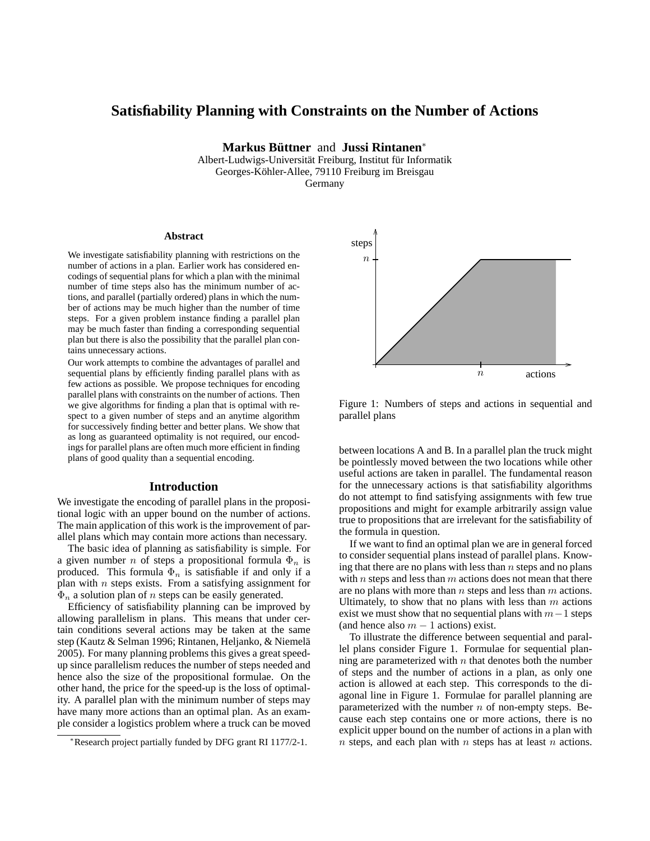# **Satisfiability Planning with Constraints on the Number of Actions**

**Markus Buttner ¨** and **Jussi Rintanen**<sup>∗</sup>

Albert-Ludwigs-Universität Freiburg, Institut für Informatik Georges-Köhler-Allee, 79110 Freiburg im Breisgau

Germany

#### **Abstract**

We investigate satisfiability planning with restrictions on the number of actions in a plan. Earlier work has considered encodings of sequential plans for which a plan with the minimal number of time steps also has the minimum number of actions, and parallel (partially ordered) plans in which the number of actions may be much higher than the number of time steps. For a given problem instance finding a parallel plan may be much faster than finding a corresponding sequential plan but there is also the possibility that the parallel plan contains unnecessary actions.

Our work attempts to combine the advantages of parallel and sequential plans by efficiently finding parallel plans with as few actions as possible. We propose techniques for encoding parallel plans with constraints on the number of actions. Then we give algorithms for finding a plan that is optimal with respect to a given number of steps and an anytime algorithm for successively finding better and better plans. We show that as long as guaranteed optimality is not required, our encodings for parallel plans are often much more efficient in finding plans of good quality than a sequential encoding.

#### **Introduction**

We investigate the encoding of parallel plans in the propositional logic with an upper bound on the number of actions. The main application of this work is the improvement of parallel plans which may contain more actions than necessary.

The basic idea of planning as satisfiability is simple. For a given number *n* of steps a propositional formula  $\Phi_n$  is produced. This formula  $\Phi_n$  is satisfiable if and only if a plan with  $n$  steps exists. From a satisfying assignment for  $\Phi_n$  a solution plan of *n* steps can be easily generated.

Efficiency of satisfiability planning can be improved by allowing parallelism in plans. This means that under certain conditions several actions may be taken at the same step (Kautz & Selman 1996; Rintanen, Heljanko, & Niemelä 2005). For many planning problems this gives a great speedup since parallelism reduces the number of steps needed and hence also the size of the propositional formulae. On the other hand, the price for the speed-up is the loss of optimality. A parallel plan with the minimum number of steps may have many more actions than an optimal plan. As an example consider a logistics problem where a truck can be moved



Figure 1: Numbers of steps and actions in sequential and parallel plans

between locations A and B. In a parallel plan the truck might be pointlessly moved between the two locations while other useful actions are taken in parallel. The fundamental reason for the unnecessary actions is that satisfiability algorithms do not attempt to find satisfying assignments with few true propositions and might for example arbitrarily assign value true to propositions that are irrelevant for the satisfiability of the formula in question.

If we want to find an optimal plan we are in general forced to consider sequential plans instead of parallel plans. Knowing that there are no plans with less than  $n$  steps and no plans with  $n$  steps and less than  $m$  actions does not mean that there are no plans with more than  $n$  steps and less than  $m$  actions. Ultimately, to show that no plans with less than  $m$  actions exist we must show that no sequential plans with  $m-1$  steps (and hence also  $m - 1$  actions) exist.

To illustrate the difference between sequential and parallel plans consider Figure 1. Formulae for sequential planning are parameterized with  $n$  that denotes both the number of steps and the number of actions in a plan, as only one action is allowed at each step. This corresponds to the diagonal line in Figure 1. Formulae for parallel planning are parameterized with the number  $n$  of non-empty steps. Because each step contains one or more actions, there is no explicit upper bound on the number of actions in a plan with  $n$  steps, and each plan with  $n$  steps has at least  $n$  actions.

<sup>∗</sup>Research project partially funded by DFG grant RI 1177/2-1.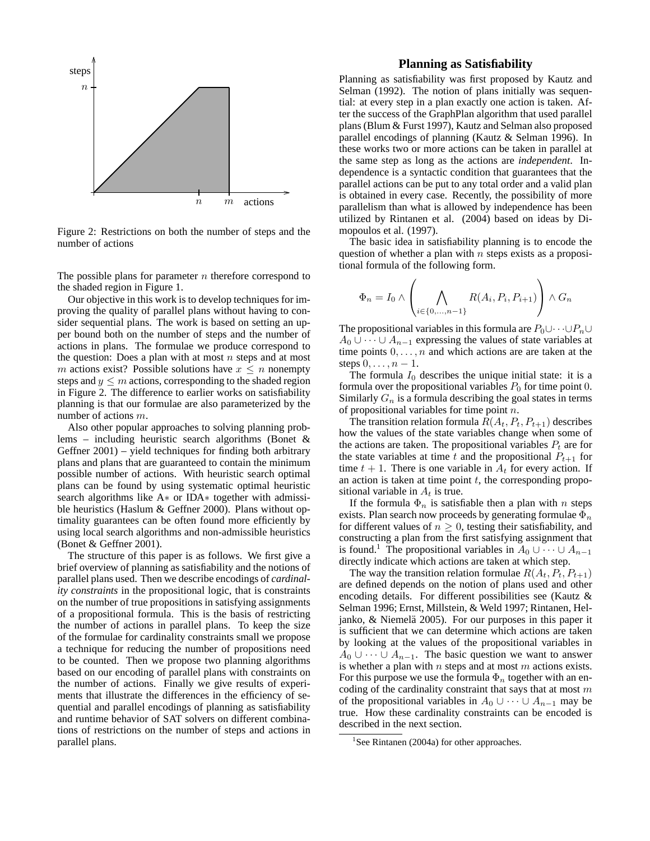

Figure 2: Restrictions on both the number of steps and the number of actions

The possible plans for parameter  $n$  therefore correspond to the shaded region in Figure 1.

Our objective in this work is to develop techniques for improving the quality of parallel plans without having to consider sequential plans. The work is based on setting an upper bound both on the number of steps and the number of actions in plans. The formulae we produce correspond to the question: Does a plan with at most  $n$  steps and at most m actions exist? Possible solutions have  $x \leq n$  nonempty steps and  $y \leq m$  actions, corresponding to the shaded region in Figure 2. The difference to earlier works on satisfiability planning is that our formulae are also parameterized by the number of actions m.

Also other popular approaches to solving planning problems – including heuristic search algorithms (Bonet & Geffner 2001) – yield techniques for finding both arbitrary plans and plans that are guaranteed to contain the minimum possible number of actions. With heuristic search optimal plans can be found by using systematic optimal heuristic search algorithms like A∗ or IDA∗ together with admissible heuristics (Haslum & Geffner 2000). Plans without optimality guarantees can be often found more efficiently by using local search algorithms and non-admissible heuristics (Bonet & Geffner 2001).

The structure of this paper is as follows. We first give a brief overview of planning as satisfiability and the notions of parallel plans used. Then we describe encodings of *cardinality constraints* in the propositional logic, that is constraints on the number of true propositions in satisfying assignments of a propositional formula. This is the basis of restricting the number of actions in parallel plans. To keep the size of the formulae for cardinality constraints small we propose a technique for reducing the number of propositions need to be counted. Then we propose two planning algorithms based on our encoding of parallel plans with constraints on the number of actions. Finally we give results of experiments that illustrate the differences in the efficiency of sequential and parallel encodings of planning as satisfiability and runtime behavior of SAT solvers on different combinations of restrictions on the number of steps and actions in parallel plans.

# **Planning as Satisfiability**

Planning as satisfiability was first proposed by Kautz and Selman (1992). The notion of plans initially was sequential: at every step in a plan exactly one action is taken. After the success of the GraphPlan algorithm that used parallel plans (Blum & Furst 1997), Kautz and Selman also proposed parallel encodings of planning (Kautz & Selman 1996). In these works two or more actions can be taken in parallel at the same step as long as the actions are *independent*. Independence is a syntactic condition that guarantees that the parallel actions can be put to any total order and a valid plan is obtained in every case. Recently, the possibility of more parallelism than what is allowed by independence has been utilized by Rintanen et al. (2004) based on ideas by Dimopoulos et al. (1997).

The basic idea in satisfiability planning is to encode the question of whether a plan with  $n$  steps exists as a propositional formula of the following form.

$$
\Phi_n = I_0 \wedge \left( \bigwedge_{i \in \{0, \dots, n-1\}} R(A_i, P_i, P_{i+1}) \right) \wedge G_n
$$

The propositional variables in this formula are  $P_0 \cup \cdots \cup P_n \cup$  $A_0 \cup \cdots \cup A_{n-1}$  expressing the values of state variables at time points  $0, \ldots, n$  and which actions are are taken at the steps  $0, \ldots, n-1$ .

The formula  $I_0$  describes the unique initial state: it is a formula over the propositional variables  $P_0$  for time point 0. Similarly  $G_n$  is a formula describing the goal states in terms of propositional variables for time point  $n$ .

The transition relation formula  $R(A_t, P_t, P_{t+1})$  describes how the values of the state variables change when some of the actions are taken. The propositional variables  $P_t$  are for the state variables at time t and the propositional  $P_{t+1}$  for time  $t + 1$ . There is one variable in  $A_t$  for every action. If an action is taken at time point  $t$ , the corresponding propositional variable in  $A_t$  is true.

If the formula  $\Phi_n$  is satisfiable then a plan with n steps exists. Plan search now proceeds by generating formulae  $\Phi_n$ for different values of  $n \geq 0$ , testing their satisfiability, and constructing a plan from the first satisfying assignment that is found.<sup>1</sup> The propositional variables in  $A_0 \cup \cdots \cup A_{n-1}$ directly indicate which actions are taken at which step.

The way the transition relation formulae  $R(A_t, P_t, P_{t+1})$ are defined depends on the notion of plans used and other encoding details. For different possibilities see (Kautz & Selman 1996; Ernst, Millstein, & Weld 1997; Rintanen, Heljanko,  $&$  Niemelä 2005). For our purposes in this paper it is sufficient that we can determine which actions are taken by looking at the values of the propositional variables in  $A_0 \cup \cdots \cup A_{n-1}$ . The basic question we want to answer is whether a plan with  $n$  steps and at most  $m$  actions exists. For this purpose we use the formula  $\Phi_n$  together with an encoding of the cardinality constraint that says that at most  $m$ of the propositional variables in  $A_0 \cup \cdots \cup A_{n-1}$  may be true. How these cardinality constraints can be encoded is described in the next section.

<sup>&</sup>lt;sup>1</sup>See Rintanen (2004a) for other approaches.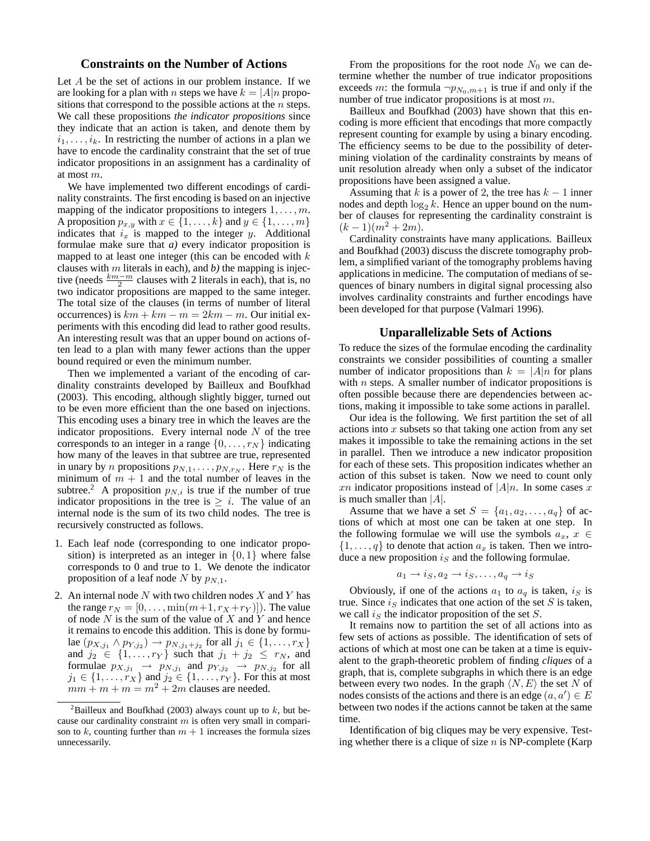# **Constraints on the Number of Actions**

Let A be the set of actions in our problem instance. If we are looking for a plan with *n* steps we have  $k = |A|n$  propositions that correspond to the possible actions at the  $n$  steps. We call these propositions *the indicator propositions* since they indicate that an action is taken, and denote them by  $i_1, \ldots, i_k$ . In restricting the number of actions in a plan we have to encode the cardinality constraint that the set of true indicator propositions in an assignment has a cardinality of at most m.

We have implemented two different encodings of cardinality constraints. The first encoding is based on an injective mapping of the indicator propositions to integers  $1, \ldots, m$ . A proposition  $p_{x,y}$  with  $x \in \{1, \ldots, k\}$  and  $y \in \{1, \ldots, m\}$ indicates that  $i_x$  is mapped to the integer y. Additional formulae make sure that *a)* every indicator proposition is mapped to at least one integer (this can be encoded with  $k$ clauses with m literals in each), and *b)* the mapping is injective (needs  $\frac{km-m}{2}$  clauses with 2 literals in each), that is, no two indicator propositions are mapped to the same integer. The total size of the clauses (in terms of number of literal occurrences) is  $km + km - m = 2km - m$ . Our initial experiments with this encoding did lead to rather good results. An interesting result was that an upper bound on actions often lead to a plan with many fewer actions than the upper bound required or even the minimum number.

Then we implemented a variant of the encoding of cardinality constraints developed by Bailleux and Boufkhad (2003). This encoding, although slightly bigger, turned out to be even more efficient than the one based on injections. This encoding uses a binary tree in which the leaves are the indicator propositions. Every internal node  $N$  of the tree corresponds to an integer in a range  $\{0, \ldots, r_N\}$  indicating how many of the leaves in that subtree are true, represented in unary by *n* propositions  $p_{N,1}, \ldots, p_{N,r_N}$ . Here  $r_N$  is the minimum of  $m + 1$  and the total number of leaves in the subtree.<sup>2</sup> A proposition  $p_{N,i}$  is true if the number of true indicator propositions in the tree is  $\geq i$ . The value of an internal node is the sum of its two child nodes. The tree is recursively constructed as follows.

- 1. Each leaf node (corresponding to one indicator proposition) is interpreted as an integer in  $\{0, 1\}$  where false corresponds to 0 and true to 1. We denote the indicator proposition of a leaf node N by  $p_{N,1}$ .
- 2. An internal node  $N$  with two children nodes  $X$  and  $Y$  has the range  $r_N = [0, \ldots, \min(m+1, r_X + r_Y)]$ . The value of node  $N$  is the sum of the value of  $X$  and  $Y$  and hence it remains to encode this addition. This is done by formulae  $(p_{X,j_1} \wedge p_{Y,j_2}) \rightarrow p_{N,j_1+j_2}$  for all  $j_1 \in \{1, ..., r_X\}$ and  $j_2 \in \{1, ..., r_Y\}$  such that  $j_1 + j_2 \leq r_N$ , and formulae  $p_{X,j_1} \rightarrow p_{N,j_1}$  and  $p_{Y,j_2} \rightarrow p_{N,j_2}$  for all  $j_1 \in \{1, \ldots, r_X\}$  and  $j_2 \in \{1, \ldots, r_Y\}$ . For this at most  $mm + m + m = m^2 + 2m$  clauses are needed.

From the propositions for the root node  $N_0$  we can determine whether the number of true indicator propositions exceeds m: the formula  $\neg p_{N_0,m+1}$  is true if and only if the number of true indicator propositions is at most m.

Bailleux and Boufkhad (2003) have shown that this encoding is more efficient that encodings that more compactly represent counting for example by using a binary encoding. The efficiency seems to be due to the possibility of determining violation of the cardinality constraints by means of unit resolution already when only a subset of the indicator propositions have been assigned a value.

Assuming that k is a power of 2, the tree has  $k - 1$  inner nodes and depth  $\log_2 k$ . Hence an upper bound on the number of clauses for representing the cardinality constraint is  $(k-1)(m^2+2m)$ .

Cardinality constraints have many applications. Bailleux and Boufkhad (2003) discuss the discrete tomography problem, a simplified variant of the tomography problems having applications in medicine. The computation of medians of sequences of binary numbers in digital signal processing also involves cardinality constraints and further encodings have been developed for that purpose (Valmari 1996).

#### **Unparallelizable Sets of Actions**

To reduce the sizes of the formulae encoding the cardinality constraints we consider possibilities of counting a smaller number of indicator propositions than  $k = |A|n$  for plans with  $n$  steps. A smaller number of indicator propositions is often possible because there are dependencies between actions, making it impossible to take some actions in parallel.

Our idea is the following. We first partition the set of all actions into  $x$  subsets so that taking one action from any set makes it impossible to take the remaining actions in the set in parallel. Then we introduce a new indicator proposition for each of these sets. This proposition indicates whether an action of this subset is taken. Now we need to count only xn indicator propositions instead of  $|A|n$ . In some cases x is much smaller than  $|A|$ .

Assume that we have a set  $S = \{a_1, a_2, \ldots, a_q\}$  of actions of which at most one can be taken at one step. In the following formulae we will use the symbols  $a_x, x \in$  $\{1, \ldots, q\}$  to denote that action  $a_x$  is taken. Then we introduce a new proposition  $i<sub>S</sub>$  and the following formulae.

$$
a_1 \to i_S, a_2 \to i_S, \dots, a_q \to i_S
$$

Obviously, if one of the actions  $a_1$  to  $a_q$  is taken,  $i_S$  is true. Since  $i_S$  indicates that one action of the set S is taken, we call  $i_S$  the indicator proposition of the set S.

It remains now to partition the set of all actions into as few sets of actions as possible. The identification of sets of actions of which at most one can be taken at a time is equivalent to the graph-theoretic problem of finding *cliques* of a graph, that is, complete subgraphs in which there is an edge between every two nodes. In the graph  $\langle N, E \rangle$  the set N of nodes consists of the actions and there is an edge  $(a, a') \in E$ between two nodes if the actions cannot be taken at the same time.

Identification of big cliques may be very expensive. Testing whether there is a clique of size  $n$  is NP-complete (Karp

<sup>&</sup>lt;sup>2</sup>Bailleux and Boufkhad (2003) always count up to k, but because our cardinality constraint  $m$  is often very small in comparison to k, counting further than  $m + 1$  increases the formula sizes unnecessarily.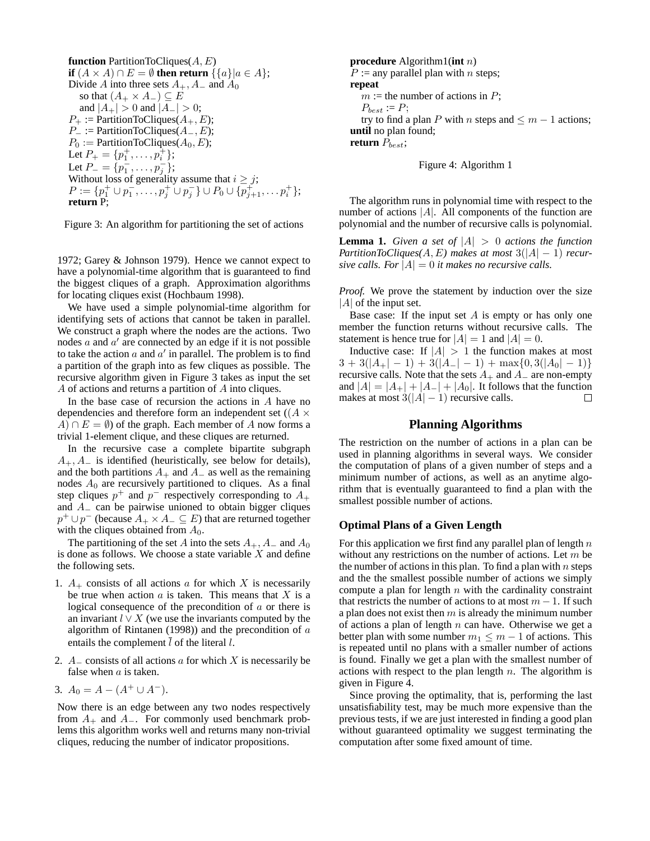**function** PartitionToCliques
$$
(A, E)
$$
  
\n**if**  $(A \times A) \cap E = \emptyset$  **then return**  $\{\{a\} | a \in A\}$ ;  
\nDivide A into three sets  $A_+, A_-$  and  $A_0$   
\nso that  $(A_+ \times A_-) \subseteq E$   
\nand  $|A_+| > 0$  and  $|A_-| > 0$ ;  
\n $P_+ :=$  PartitionToCliques $(A_+, E)$ ;  
\n $P_- :=$  PartitionToCliques $(A_0, E)$ ;  
\n $P_0 :=$  PartitionToCliques $(A_0, E)$ ;  
\nLet  $P_+ = \{p_1^+, \ldots, p_i^+\}$ ;  
\nLet  $P_- = \{p_1^-, \ldots, p_j^-\}$ ;  
\nWithout loss of generality assume that  $i \geq j$ ;  
\n $P := \{p_1^+ \cup p_1^-, \ldots, p_j^+ \cup p_j^-\} \cup P_0 \cup \{p_{j+1}^+, \ldots p_i^+\}$ ;  
\n**return** P;

Figure 3: An algorithm for partitioning the set of actions

1972; Garey & Johnson 1979). Hence we cannot expect to have a polynomial-time algorithm that is guaranteed to find the biggest cliques of a graph. Approximation algorithms for locating cliques exist (Hochbaum 1998).

We have used a simple polynomial-time algorithm for identifying sets of actions that cannot be taken in parallel. We construct a graph where the nodes are the actions. Two nodes  $a$  and  $a'$  are connected by an edge if it is not possible to take the action  $a$  and  $a'$  in parallel. The problem is to find a partition of the graph into as few cliques as possible. The recursive algorithm given in Figure 3 takes as input the set A of actions and returns a partition of A into cliques.

In the base case of recursion the actions in  $A$  have no dependencies and therefore form an independent set ( $(A \times$  $A) \cap E = \emptyset$  of the graph. Each member of A now forms a trivial 1-element clique, and these cliques are returned.

In the recursive case a complete bipartite subgraph  $A_+$ ,  $A_-$  is identified (heuristically, see below for details), and the both partitions  $A_+$  and  $A_-$  as well as the remaining nodes  $A_0$  are recursively partitioned to cliques. As a final step cliques  $p^+$  and  $p^-$  respectively corresponding to  $A_+$ and  $A_$  can be pairwise unioned to obtain bigger cliques  $p^+ \cup p^-$  (because  $A_+ \times A_- \subseteq E$ ) that are returned together with the cliques obtained from  $A_0$ .

The partitioning of the set A into the sets  $A_+, A_-$  and  $A_0$ is done as follows. We choose a state variable  $X$  and define the following sets.

- 1.  $A_+$  consists of all actions a for which X is necessarily be true when action  $a$  is taken. This means that  $X$  is a logical consequence of the precondition of  $a$  or there is an invariant  $l \vee X$  (we use the invariants computed by the algorithm of Rintanen (1998)) and the precondition of  $a$ entails the complement  $\overline{l}$  of the literal  $l$ .
- 2.  $A_{-}$  consists of all actions a for which X is necessarily be false when  $a$  is taken.

3. 
$$
A_0 = A - (A^+ \cup A^-).
$$

Now there is an edge between any two nodes respectively from  $A_+$  and  $A_-$ . For commonly used benchmark problems this algorithm works well and returns many non-trivial cliques, reducing the number of indicator propositions.

**procedure** Algorithm1(**int** n)  $P :=$  any parallel plan with *n* steps; **repeat**  $m :=$  the number of actions in P;  $P_{best} := P;$ try to find a plan P with n steps and  $\leq m - 1$  actions; **until** no plan found; **return**  $P_{best}$ ;

Figure 4: Algorithm 1

The algorithm runs in polynomial time with respect to the number of actions |A|. All components of the function are polynomial and the number of recursive calls is polynomial.

**Lemma 1.** *Given a set of*  $|A| > 0$  *actions the function PartitionToCliques(A, E)* makes at most  $3(|A| - 1)$  *recursive calls. For*  $|A| = 0$  *it makes no recursive calls.* 

*Proof.* We prove the statement by induction over the size  $|A|$  of the input set.

Base case: If the input set  $A$  is empty or has only one member the function returns without recursive calls. The statement is hence true for  $|A| = 1$  and  $|A| = 0$ .

Inductive case: If  $|A| > 1$  the function makes at most  $3 + 3(|A_+| - 1) + 3(|A_-| - 1) + \max\{0, 3(|A_0| - 1)\}\$ recursive calls. Note that the sets  $A_+$  and  $A_-$  are non-empty and  $|A| = |A_+| + |A_-| + |A_0|$ . It follows that the function makes at most  $3(|A|-1)$  recursive calls. makes at most  $3(|A| - 1)$  recursive calls.

### **Planning Algorithms**

The restriction on the number of actions in a plan can be used in planning algorithms in several ways. We consider the computation of plans of a given number of steps and a minimum number of actions, as well as an anytime algorithm that is eventually guaranteed to find a plan with the smallest possible number of actions.

# **Optimal Plans of a Given Length**

For this application we first find any parallel plan of length  $n$ without any restrictions on the number of actions. Let  $m$  be the number of actions in this plan. To find a plan with  $n$  steps and the the smallest possible number of actions we simply compute a plan for length  $n$  with the cardinality constraint that restricts the number of actions to at most  $m - 1$ . If such a plan does not exist then  $m$  is already the minimum number of actions a plan of length  $n$  can have. Otherwise we get a better plan with some number  $m_1 \leq m-1$  of actions. This is repeated until no plans with a smaller number of actions is found. Finally we get a plan with the smallest number of actions with respect to the plan length  $n$ . The algorithm is given in Figure 4.

Since proving the optimality, that is, performing the last unsatisfiability test, may be much more expensive than the previous tests, if we are just interested in finding a good plan without guaranteed optimality we suggest terminating the computation after some fixed amount of time.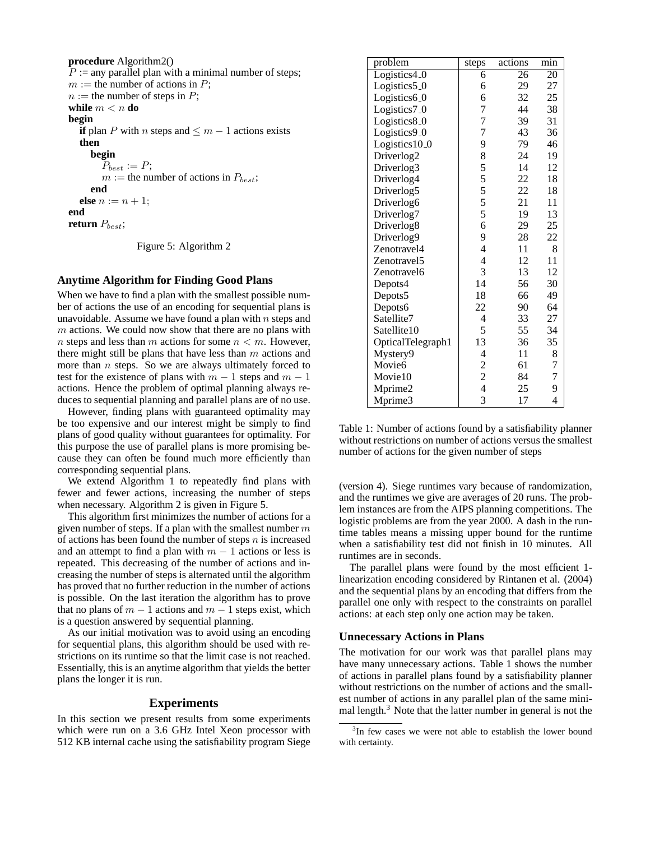**procedure** Algorithm2()  $P :=$  any parallel plan with a minimal number of steps;  $m :=$  the number of actions in P;  $n :=$  the number of steps in P; **while**  $m < n$  **do begin if** plan P with n steps and  $\leq m - 1$  actions exists **then begin**  $P_{best} := P;$  $m :=$  the number of actions in  $P_{best}$ ; **end else**  $n := n + 1$ ; **end return**  $P_{best}$ ;

Figure 5: Algorithm 2

#### **Anytime Algorithm for Finding Good Plans**

When we have to find a plan with the smallest possible number of actions the use of an encoding for sequential plans is unavoidable. Assume we have found a plan with  $n$  steps and  $m$  actions. We could now show that there are no plans with n steps and less than m actions for some  $n < m$ . However, there might still be plans that have less than  $m$  actions and more than  $n$  steps. So we are always ultimately forced to test for the existence of plans with  $m - 1$  steps and  $m - 1$ actions. Hence the problem of optimal planning always reduces to sequential planning and parallel plans are of no use.

However, finding plans with guaranteed optimality may be too expensive and our interest might be simply to find plans of good quality without guarantees for optimality. For this purpose the use of parallel plans is more promising because they can often be found much more efficiently than corresponding sequential plans.

We extend Algorithm 1 to repeatedly find plans with fewer and fewer actions, increasing the number of steps when necessary. Algorithm 2 is given in Figure 5.

This algorithm first minimizes the number of actions for a given number of steps. If a plan with the smallest number  $m$ of actions has been found the number of steps  $n$  is increased and an attempt to find a plan with  $m - 1$  actions or less is repeated. This decreasing of the number of actions and increasing the number of steps is alternated until the algorithm has proved that no further reduction in the number of actions is possible. On the last iteration the algorithm has to prove that no plans of  $m - 1$  actions and  $m - 1$  steps exist, which is a question answered by sequential planning.

As our initial motivation was to avoid using an encoding for sequential plans, this algorithm should be used with restrictions on its runtime so that the limit case is not reached. Essentially, this is an anytime algorithm that yields the better plans the longer it is run.

### **Experiments**

In this section we present results from some experiments which were run on a 3.6 GHz Intel Xeon processor with 512 KB internal cache using the satisfiability program Siege

| problem                   | steps          | actions | min             |
|---------------------------|----------------|---------|-----------------|
| Logistics4 <sub>0</sub>   | 6              | 26      | $\overline{20}$ |
| Logistics5 <sub>-0</sub>  | 6              | 29      | 27              |
| Logistics6 <sub>-0</sub>  | 6              | 32      | 25              |
| Logistics7_0              | 7              | 44      | 38              |
| Logistics8 <sub>-0</sub>  | 7              | 39      | 31              |
| Logistics9 <sub>-0</sub>  | 7              | 43      | 36              |
| Logistics10 <sub>-0</sub> | 9              | 79      | 46              |
| Driverlog2                | 8              | 24      | 19              |
| Driverlog3                | 5              | 14      | 12              |
| Driverlog4                | 5              | 22      | 18              |
| Driverlog5                | 5              | 22      | 18              |
| Driverlog6                | 5              | 21      | 11              |
| Driverlog7                | 5              | 19      | 13              |
| Driverlog8                | 6              | 29      | 25              |
| Driverlog9                | 9              | 28      | 22              |
| Zenotravel4               | $\overline{4}$ | 11      | 8               |
| Zenotravel5               | $\overline{4}$ | 12      | 11              |
| Zenotravel6               | 3              | 13      | 12              |
| Depots4                   | 14             | 56      | 30              |
| Depots5                   | 18             | 66      | 49              |
| Depots6                   | 22             | 90      | 64              |
| Satellite7                | 4              | 33      | 27              |
| Satellite10               | 5              | 55      | 34              |
| OpticalTelegraph1         | 13             | 36      | 35              |
| Mystery9                  | $\overline{4}$ | 11      | 8               |
| Movie <sub>6</sub>        | $\overline{c}$ | 61      | 7               |
| Movie10                   | $\overline{c}$ | 84      | 7               |
| Mprime2                   | $\overline{4}$ | 25      | 9               |
| Mprime3                   | 3              | 17      | 4               |

Table 1: Number of actions found by a satisfiability planner without restrictions on number of actions versus the smallest number of actions for the given number of steps

(version 4). Siege runtimes vary because of randomization, and the runtimes we give are averages of 20 runs. The problem instances are from the AIPS planning competitions. The logistic problems are from the year 2000. A dash in the runtime tables means a missing upper bound for the runtime when a satisfiability test did not finish in 10 minutes. All runtimes are in seconds.

The parallel plans were found by the most efficient 1 linearization encoding considered by Rintanen et al. (2004) and the sequential plans by an encoding that differs from the parallel one only with respect to the constraints on parallel actions: at each step only one action may be taken.

# **Unnecessary Actions in Plans**

The motivation for our work was that parallel plans may have many unnecessary actions. Table 1 shows the number of actions in parallel plans found by a satisfiability planner without restrictions on the number of actions and the smallest number of actions in any parallel plan of the same minimal length.<sup>3</sup> Note that the latter number in general is not the

<sup>&</sup>lt;sup>3</sup>In few cases we were not able to establish the lower bound with certainty.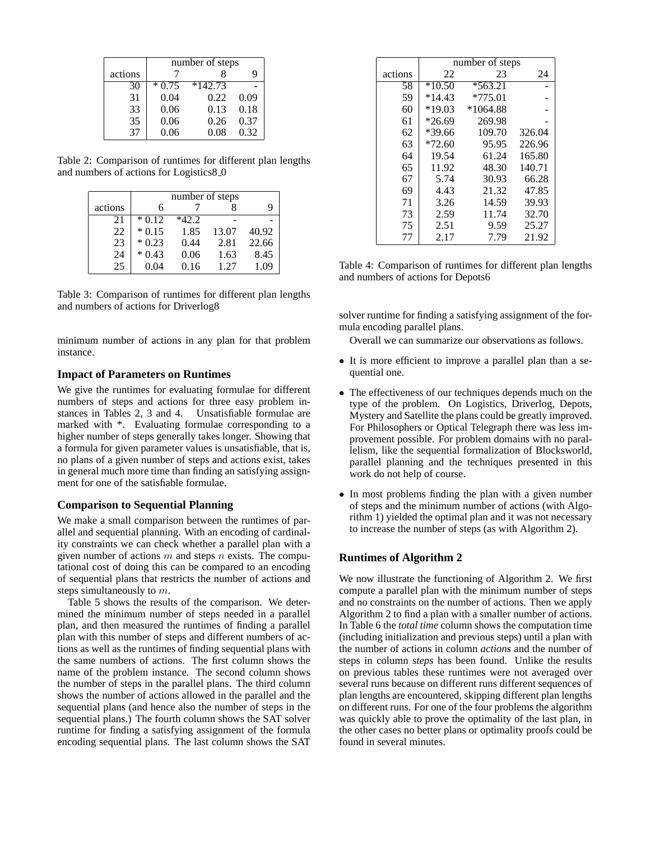|         | number of steps |           |      |
|---------|-----------------|-----------|------|
| actions |                 |           |      |
| 30      | $*0.75$         | $*142.73$ |      |
| 31      | 0.04            | 0.22      | 0.09 |
| 33      | 0.06            | 0.13      | 0.18 |
| 35      | 0.06            | 0.26      | 0.37 |
| 37      | 0.06            | 0.08      | 0.32 |

Table 2: Comparison of runtimes for different plan lengths and numbers of actions for Logistics8<sub>-0</sub>

|         | number of steps |         |       |       |
|---------|-----------------|---------|-------|-------|
| actions | 6               |         |       |       |
| 21      | $*0.12$         | $*42.2$ |       |       |
| 22      | $*0.15$         | 1.85    | 13.07 | 40.92 |
| 23      | $*0.23$         | 0.44    | 2.81  | 22.66 |
| 24      | $*0.43$         | 0.06    | 1.63  | 8.45  |
| 25      | 0.04            | 0.16    | 1.27  | 1.09  |

Table 3: Comparison of runtimes for different plan lengths and numbers of actions for Driverlog8

minimum number of actions in any plan for that problem instance.

### **Impact of Parameters on Runtimes**

We give the runtimes for evaluating formulae for different numbers of steps and actions for three easy problem instances in Tables 2, 3 and 4. Unsatisfiable formulae are marked with \*. Evaluating formulae corresponding to a higher number of steps generally takes longer. Showing that a formula for given parameter values is unsatisfiable, that is, no plans of a given number of steps and actions exist, takes in general much more time than finding an satisfying assignment for one of the satisfiable formulae.

### **Comparison to Sequential Planning**

We make a small comparison between the runtimes of parallel and sequential planning. With an encoding of cardinality constraints we can check whether a parallel plan with a given number of actions  $m$  and steps  $n$  exists. The computational cost of doing this can be compared to an encoding of sequential plans that restricts the number of actions and steps simultaneously to m.

Table 5 shows the results of the comparison. We determined the minimum number of steps needed in a parallel plan, and then measured the runtimes of finding a parallel plan with this number of steps and different numbers of actions as well as the runtimes of finding sequential plans with the same numbers of actions. The first column shows the name of the problem instance. The second column shows the number of steps in the parallel plans. The third column shows the number of actions allowed in the parallel and the sequential plans (and hence also the number of steps in the sequential plans.) The fourth column shows the SAT solver runtime for finding a satisfying assignment of the formula encoding sequential plans. The last column shows the SAT

|         | number of steps |            |        |  |
|---------|-----------------|------------|--------|--|
| actions | 22              | 23         | 24     |  |
| 58      | $*10.50$        | $*563.21$  |        |  |
| 59      | $*14.43$        | $*775.01$  |        |  |
| 60      | $*19.03$        | $*1064.88$ |        |  |
| 61      | $*26.69$        | 269.98     |        |  |
| 62      | $*39.66$        | 109.70     | 326.04 |  |
| 63      | $*72.60$        | 95.95      | 226.96 |  |
| 64      | 19.54           | 61.24      | 165.80 |  |
| 65      | 11.92           | 48.30      | 140.71 |  |
| 67      | 5.74            | 30.93      | 66.28  |  |
| 69      | 4.43            | 21.32      | 47.85  |  |
| 71      | 3.26            | 14.59      | 39.93  |  |
| 73      | 2.59            | 11.74      | 32.70  |  |
| 75      | 2.51            | 9.59       | 25.27  |  |
| 77      | 2.17            | 7.79       | 21.92  |  |

Table 4: Comparison of runtimes for different plan lengths and numbers of actions for Depots6

solver runtime for finding a satisfying assignment of the formula encoding parallel plans.

Overall we can summarize our observations as follows.

- It is more efficient to improve a parallel plan than a sequential one.
- The effectiveness of our techniques depends much on the type of the problem. On Logistics, Driverlog, Depots, Mystery and Satellite the plans could be greatly improved. For Philosophers or Optical Telegraph there was less improvement possible. For problem domains with no parallelism, like the sequential formalization of Blocksworld, parallel planning and the techniques presented in this work do not help of course.
- In most problems finding the plan with a given number of steps and the minimum number of actions (with Algorithm 1) yielded the optimal plan and it was not necessary to increase the number of steps (as with Algorithm 2).

### **Runtimes of Algorithm 2**

We now illustrate the functioning of Algorithm 2. We first compute a parallel plan with the minimum number of steps and no constraints on the number of actions. Then we apply Algorithm 2 to find a plan with a smaller number of actions. In Table 6 the *total time* column shows the computation time (including initialization and previous steps) until a plan with the number of actions in column *actions* and the number of steps in column *steps* has been found. Unlike the results on previous tables these runtimes were not averaged over several runs because on different runs different sequences of plan lengths are encountered, skipping different plan lengths on different runs. For one of the four problems the algorithm was quickly able to prove the optimality of the last plan, in the other cases no better plans or optimality proofs could be found in several minutes.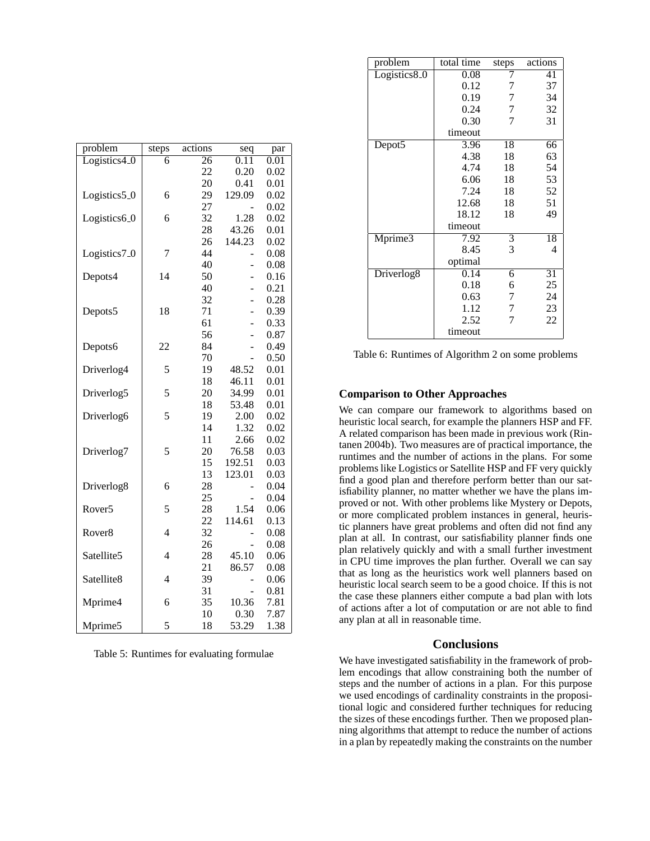| problem                  | steps          | actions         | seq            | par  |
|--------------------------|----------------|-----------------|----------------|------|
| Logistics4_0             | 6              | $\overline{26}$ | 0.11           | 0.01 |
|                          |                | 22              | 0.20           | 0.02 |
|                          |                | 20              | 0.41           | 0.01 |
| Logistics5 <sub>-0</sub> | 6              | 29              | 129.09         | 0.02 |
|                          |                | 27              |                | 0.02 |
| Logistics6 <sub>-0</sub> | 6              | 32              | 1.28           | 0.02 |
|                          |                | 28              | 43.26          | 0.01 |
|                          |                | 26              | 144.23         | 0.02 |
| Logistics7_0             | 7              | 44              |                | 0.08 |
|                          |                | 40              |                | 0.08 |
| Depots4                  | 14             | 50              |                | 0.16 |
|                          |                | 40              | -              | 0.21 |
|                          |                | 32              |                | 0.28 |
| Depots5                  | 18             | 71              |                | 0.39 |
|                          |                | 61              |                | 0.33 |
|                          |                | 56              | $\overline{a}$ | 0.87 |
| Depots6                  | 22             | 84              |                | 0.49 |
|                          |                | 70              |                | 0.50 |
| Driverlog4               | 5              | 19              | 48.52          | 0.01 |
|                          |                | 18              | 46.11          | 0.01 |
| Driverlog5               | 5              | 20              | 34.99          | 0.01 |
|                          |                | 18              | 53.48          | 0.01 |
| Driverlog6               | 5              | 19              | 2.00           | 0.02 |
|                          |                | 14              | 1.32           | 0.02 |
|                          |                | 11              | 2.66           | 0.02 |
| Driverlog7               | 5              | 20              | 76.58          | 0.03 |
|                          |                | 15              | 192.51         | 0.03 |
|                          |                | 13              | 123.01         | 0.03 |
| Driverlog8               | 6              | 28              |                | 0.04 |
|                          |                | 25              |                | 0.04 |
| Rover <sub>5</sub>       | 5              | 28              | 1.54           | 0.06 |
|                          |                | 22              | 114.61         | 0.13 |
| Rover <sub>8</sub>       | 4              | 32              |                | 0.08 |
|                          |                | 26              |                | 0.08 |
| Satellite5               | 4              | 28              | 45.10          | 0.06 |
|                          |                | 21              | 86.57          | 0.08 |
| Satellite8               | $\overline{4}$ | 39              |                | 0.06 |
|                          |                | 31              |                | 0.81 |
| Mprime4                  | 6              | 35              | 10.36          | 7.81 |
|                          |                | 10              | 0.30           | 7.87 |
| Mprime5                  | 5              | 18              | 53.29          | 1.38 |

Table 5: Runtimes for evaluating formulae

| problem                  | total time        | steps          | actions |
|--------------------------|-------------------|----------------|---------|
| Logistics8 <sub>-0</sub> | 0.08              |                | 41      |
|                          | 0.12              | 7              | 37      |
|                          | 0.19              | 7              | 34      |
|                          | 0.24              | 7              | 32      |
|                          | 0.30              | 7              | 31      |
|                          | timeout           |                |         |
| Depot <sub>5</sub>       | 3.96              | 18             | 66      |
|                          | 4.38              | 18             | 63      |
|                          | 4.74              | 18             | 54      |
|                          | 6.06              | 18             | 53      |
|                          | 7.24              | 18             | 52      |
|                          | 12.68             | 18             | 51      |
|                          | 18.12             | 18             | 49      |
|                          | timeout           |                |         |
| Mprime3                  | $\overline{7.92}$ | $\overline{3}$ | 18      |
|                          | 8.45              | 3              | 4       |
|                          | optimal           |                |         |
| Driverlog <sub>8</sub>   | 0.14              | 6              | 31      |
|                          | 0.18              | 6              | 25      |
|                          | 0.63              | 7              | 24      |
|                          | 1.12              | 7              | 23      |
|                          | 2.52              |                | 22      |
|                          | timeout           |                |         |

Table 6: Runtimes of Algorithm 2 on some problems

# **Comparison to Other Approaches**

We can compare our framework to algorithms based on heuristic local search, for example the planners HSP and FF. A related comparison has been made in previous work (Rintanen 2004b). Two measures are of practical importance, the runtimes and the number of actions in the plans. For some problems like Logistics or Satellite HSP and FF very quickly find a good plan and therefore perform better than our satisfiability planner, no matter whether we have the plans improved or not. With other problems like Mystery or Depots, or more complicated problem instances in general, heuristic planners have great problems and often did not find any plan at all. In contrast, our satisfiability planner finds one plan relatively quickly and with a small further investment in CPU time improves the plan further. Overall we can say that as long as the heuristics work well planners based on heuristic local search seem to be a good choice. If this is not the case these planners either compute a bad plan with lots of actions after a lot of computation or are not able to find any plan at all in reasonable time.

#### **Conclusions**

We have investigated satisfiability in the framework of problem encodings that allow constraining both the number of steps and the number of actions in a plan. For this purpose we used encodings of cardinality constraints in the propositional logic and considered further techniques for reducing the sizes of these encodings further. Then we proposed planning algorithms that attempt to reduce the number of actions in a plan by repeatedly making the constraints on the number